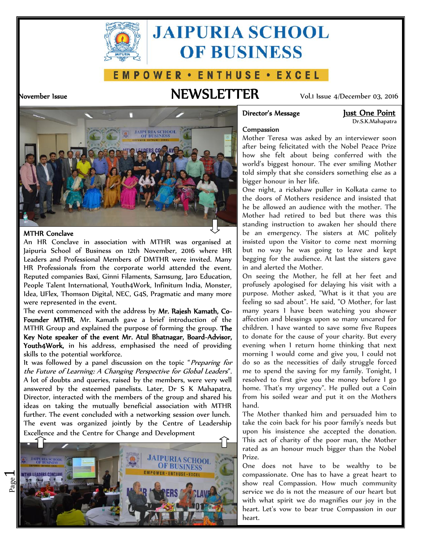

# **JAIPURIA SCHOOL OF BUSINESS**

# E M P O W E R · E N T H U S E · E X C E L

# **November Issue NEWSLETTER** Vol.1 Issue 4/December 03, 2016



Dr.S.K.Mahapatra



# **MTHR Conclave**

Page  $\overline{\phantom{0}}$ 

An HR Conclave in association with MTHR was organised at Jaipuria School of Business on 12th November, 2016 where HR Leaders and Professional Members of DMTHR were invited. Many HR Professionals from the corporate world attended the event. Reputed companies Baxi, Ginni Filaments, Samsung, Jaro Education, People Talent International, Youth4Work, Infinitum India, Monster, Idea, UFlex, Thomson Digital, NEC, G4S, Pragmatic and many more were represented in the event.

The event commenced with the address by **Mr. Rajesh Kamath, Co- Founder MTHR.** Mr. Kamath gave a brief introduction of the MTHR Group and explained the purpose of forming the group. **The Key Note speaker of the event Mr. Atul Bhatnagar, Board-Advisor, Youth4Work,** in his address, emphasised the need of providing skills to the potential workforce.

It was followed by a panel discussion on the topic "*Preparing for the Future of Learning: A Changing Perspective for Global Leaders*". A lot of doubts and queries, raised by the members, were very well answered by the esteemed panelists. Later, Dr S K Mahapatra, Director, interacted with the members of the group and shared his ideas on taking the mutually beneficial association with MTHR further. The event concluded with a networking session over lunch. The event was organized jointly by the Centre of Leadership Excellence and the Centre for Change and Development



# **Compassion**

Mother Teresa was asked by an interviewer soon after being felicitated with the Nobel Peace Prize how she felt about being conferred with the world's biggest honour. The ever smiling Mother told simply that she considers something else as a bigger honour in her life.

One night, a rickshaw puller in Kolkata came to the doors of Mothers residence and insisted that he be allowed an audience with the mother. The Mother had retired to bed but there was this standing instruction to awaken her should there be an emergency. The sisters at MC politely insisted upon the Visitor to come next morning but no way he was going to leave and kept begging for the audience. At last the sisters gave in and alerted the Mother.

On seeing the Mother, he fell at her feet and profusely apologised for delaying his visit with a purpose. Mother asked, "What is it that you are feeling so sad about". He said, "O Mother, for last many years I have been watching you shower affection and blessings upon so many uncared for children. I have wanted to save some five Rupees to donate for the cause of your charity. But every evening when I return home thinking that next morning I would come and give you, I could not do so as the necessities of daily struggle forced me to spend the saving for my family. Tonight, I resolved to first give you the money before I go home. That's my urgency". He pulled out a Coin from his soiled wear and put it on the Mothers hand.

The Mother thanked him and persuaded him to take the coin back for his poor family's needs but upon his insistence she accepted the donation. This act of charity of the poor man, the Mother rated as an honour much bigger than the Nobel Prize.

One does not have to be wealthy to be compassionate. One has to have a great heart to show real Compassion. How much community service we do is not the measure of our heart but with what spirit we do magnifies our joy in the heart. Let's vow to bear true Compassion in our heart.